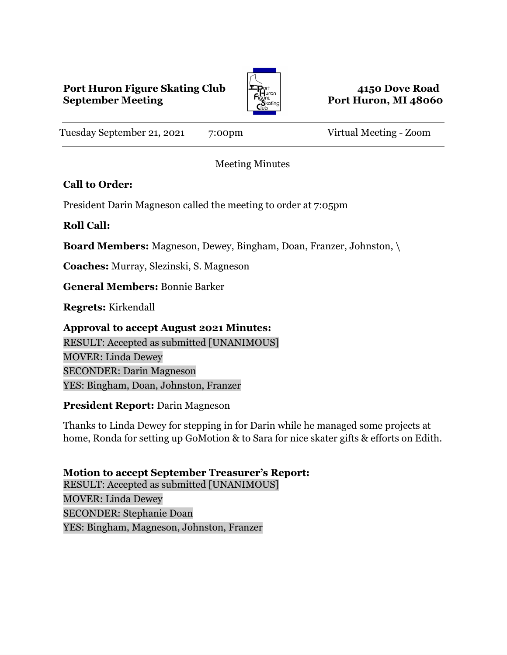## **Port Huron Figure Skating Club 4150 Dove Road September Meeting Port Huron, MI** 48060



Tuesday September 21, 2021 7:00pm Virtual Meeting - Zoom

Meeting Minutes

# **Call to Order:**

President Darin Magneson called the meeting to order at 7:05pm

# **Roll Call:**

**Board Members:** Magneson, Dewey, Bingham, Doan, Franzer, Johnston, \

**Coaches:** Murray, Slezinski, S. Magneson

**General Members:** Bonnie Barker

**Regrets:** Kirkendall

**Approval to accept August 2021 Minutes:** RESULT: Accepted as submitted [UNANIMOUS] MOVER: Linda Dewey SECONDER: Darin Magneson YES: Bingham, Doan, Johnston, Franzer

## **President Report:** Darin Magneson

Thanks to Linda Dewey for stepping in for Darin while he managed some projects at home, Ronda for setting up GoMotion & to Sara for nice skater gifts & efforts on Edith.

**Motion to accept September Treasurer's Report:** RESULT: Accepted as submitted [UNANIMOUS] MOVER: Linda Dewey SECONDER: Stephanie Doan YES: Bingham, Magneson, Johnston, Franzer